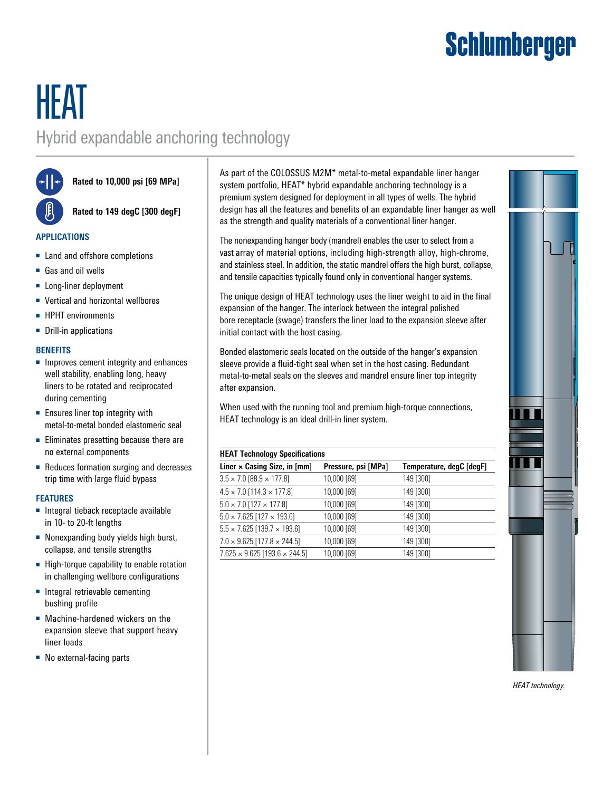## Schlumberger

### HEAT Hybrid expandable anchoring technology

**Rated to 10,000 psi [69 MPa]**

**Rated to 149 degC [300 degF]**

#### **APPLICATIONS**

- Land and offshore completions
- Gas and oil wells
- Long-liner deployment
- Vertical and horizontal wellbores
- HPHT environments
- Drill-in applications

#### **BENEFITS**

- Improves cement integrity and enhances well stability, enabling long, heavy liners to be rotated and reciprocated during cementing
- Ensures liner top integrity with metal-to-metal bonded elastomeric seal
- Eliminates presetting because there are no external components
- Reduces formation surging and decreases trip time with large fluid bypass

#### **FEATURES**

- Integral tieback receptacle available in 10- to 20-ft lengths
- Nonexpanding body yields high burst, collapse, and tensile strengths
- High-torque capability to enable rotation in challenging wellbore configurations
- Integral retrievable cementing bushing profile
- Machine-hardened wickers on the expansion sleeve that support heavy liner loads
- No external-facing parts

As part of the COLOSSUS M2M\* metal-to-metal expandable liner hanger system portfolio, HEAT\* hybrid expandable anchoring technology is a premium system designed for deployment in all types of wells. The hybrid design has all the features and benefits of an expandable liner hanger as well as the strength and quality materials of a conventional liner hanger.

The nonexpanding hanger body (mandrel) enables the user to select from a vast array of material options, including high-strength alloy, high-chrome, and stainless steel. In addition, the static mandrel offers the high burst, collapse, and tensile capacities typically found only in conventional hanger systems.

The unique design of HEAT technology uses the liner weight to aid in the final expansion of the hanger. The interlock between the integral polished bore receptacle (swage) transfers the liner load to the expansion sleeve after initial contact with the host casing.

Bonded elastomeric seals located on the outside of the hanger's expansion sleeve provide a fluid-tight seal when set in the host casing. Redundant metal-to-metal seals on the sleeves and mandrel ensure liner top integrity after expansion.

When used with the running tool and premium high-torque connections, HEAT technology is an ideal drill-in liner system.

#### **HEAT Technology Specifications**

| Liner $\times$ Casing Size, in [mm]         | Pressure, psi [MPa] | Temperature, degC [degF] |
|---------------------------------------------|---------------------|--------------------------|
| $3.5 \times 7.0$ [88.9 $\times$ 177.8]      | 10,000 [69]         | 149 [300]                |
| $4.5 \times 7.0$ [114.3 $\times$ 177.8]     | 10,000 [69]         | 149 [300]                |
| $5.0 \times 7.0$ [127 $\times$ 177.8]       | 10,000 [69]         | 149 [300]                |
| $5.0 \times 7.625$ [127 $\times$ 193.6]     | 10,000 [69]         | 149 [300]                |
| $5.5 \times 7.625$ [139.7 $\times$ 193.6]   | 10,000 [69]         | 149 [300]                |
| $7.0 \times 9.625$ [177.8 $\times$ 244.5]   | 10,000 [69]         | 149 [300]                |
| $7.625 \times 9.625$ [193.6 $\times$ 244.5] | 10,000 [69]         | 149 [300]                |



*HEAT technology.*